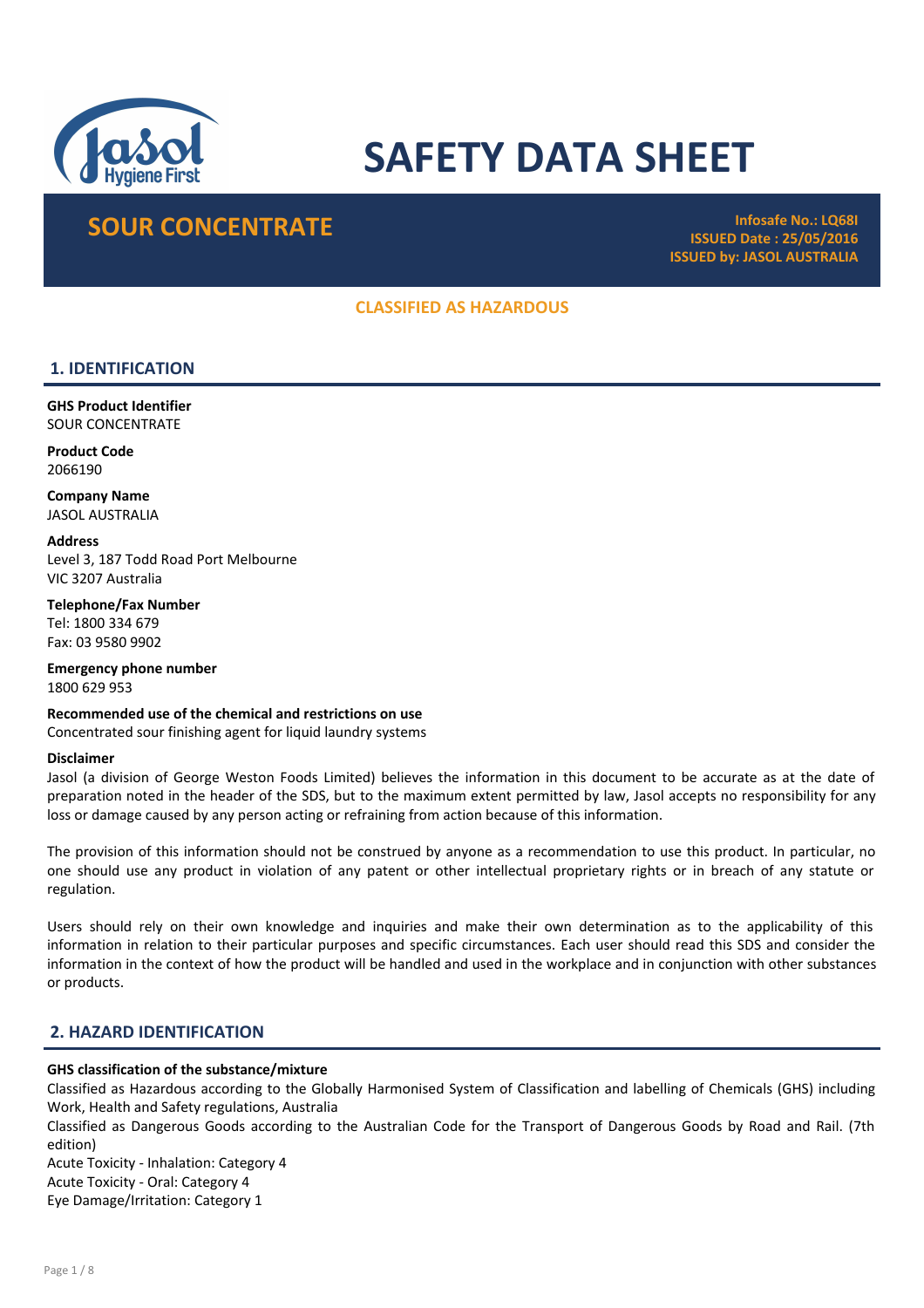

# SAFETY DATA SHEET

## SOUR CONCENTRATE Infosafe No.: LQ68I

ISSUED Date : 25/05/2016 ISSUED by: JASOL AUSTRALIA

## CLASSIFIED AS HAZARDOUS

## 1. IDENTIFICATION

GHS Product Identifier SOUR CONCENTRATE

Product Code 2066190

Company Name JASOL AUSTRALIA

**Address** Level 3, 187 Todd Road Port Melbourne VIC 3207 Australia

Telephone/Fax Number Tel: 1800 334 679 Fax: 03 9580 9902

Emergency phone number 1800 629 953

Recommended use of the chemical and restrictions on use Concentrated sour finishing agent for liquid laundry systems

#### Disclaimer

Jasol (a division of George Weston Foods Limited) believes the information in this document to be accurate as at the date of preparation noted in the header of the SDS, but to the maximum extent permitted by law, Jasol accepts no responsibility for any loss or damage caused by any person acting or refraining from action because of this information.

The provision of this information should not be construed by anyone as a recommendation to use this product. In particular, no one should use any product in violation of any patent or other intellectual proprietary rights or in breach of any statute or regulation.

Users should rely on their own knowledge and inquiries and make their own determination as to the applicability of this information in relation to their particular purposes and specific circumstances. Each user should read this SDS and consider the information in the context of how the product will be handled and used in the workplace and in conjunction with other substances or products.

## 2. HAZARD IDENTIFICATION

#### GHS classification of the substance/mixture

Classified as Hazardous according to the Globally Harmonised System of Classification and labelling of Chemicals (GHS) including Work, Health and Safety regulations, Australia

Classified as Dangerous Goods according to the Australian Code for the Transport of Dangerous Goods by Road and Rail. (7th edition)

Acute Toxicity - Inhalation: Category 4 Acute Toxicity - Oral: Category 4 Eye Damage/Irritation: Category 1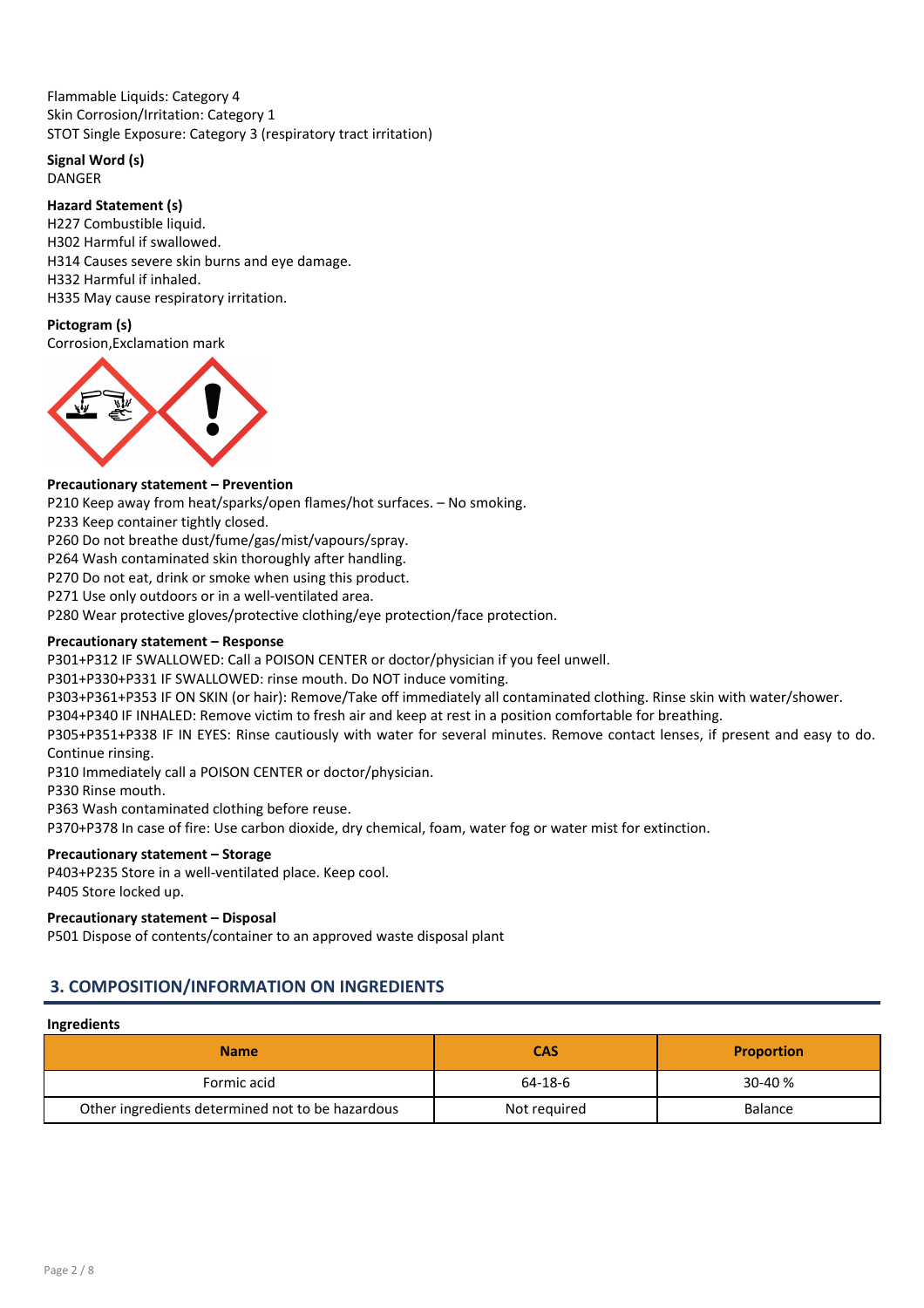Flammable Liquids: Category 4 Skin Corrosion/Irritation: Category 1 STOT Single Exposure: Category 3 (respiratory tract irritation)

## Signal Word (s)

DANGER

## Hazard Statement (s)

H227 Combustible liquid. H302 Harmful if swallowed. H314 Causes severe skin burns and eye damage. H332 Harmful if inhaled. H335 May cause respiratory irritation.

## Pictogram (s)

Corrosion,Exclamation mark



## Precautionary statement – Prevention

P210 Keep away from heat/sparks/open flames/hot surfaces. – No smoking.

P233 Keep container tightly closed.

P260 Do not breathe dust/fume/gas/mist/vapours/spray.

P264 Wash contaminated skin thoroughly after handling.

P270 Do not eat, drink or smoke when using this product.

P271 Use only outdoors or in a well-ventilated area.

P280 Wear protective gloves/protective clothing/eye protection/face protection.

## Precautionary statement – Response

P301+P312 IF SWALLOWED: Call a POISON CENTER or doctor/physician if you feel unwell.

P301+P330+P331 IF SWALLOWED: rinse mouth. Do NOT induce vomiting.

P303+P361+P353 IF ON SKIN (or hair): Remove/Take off immediately all contaminated clothing. Rinse skin with water/shower.

P304+P340 IF INHALED: Remove victim to fresh air and keep at rest in a position comfortable for breathing.

P305+P351+P338 IF IN EYES: Rinse cautiously with water for several minutes. Remove contact lenses, if present and easy to do. Continue rinsing.

P310 Immediately call a POISON CENTER or doctor/physician.

P330 Rinse mouth.

P363 Wash contaminated clothing before reuse.

P370+P378 In case of fire: Use carbon dioxide, dry chemical, foam, water fog or water mist for extinction.

## Precautionary statement – Storage

P403+P235 Store in a well-ventilated place. Keep cool. P405 Store locked up.

## Precautionary statement – Disposal

P501 Dispose of contents/container to an approved waste disposal plant

## 3. COMPOSITION/INFORMATION ON INGREDIENTS

#### Ingredients

| <b>Name</b>                                      | <b>CAS</b>   | <b>Proportion</b> |
|--------------------------------------------------|--------------|-------------------|
| Formic acid                                      | 64-18-6      | $30-40%$          |
| Other ingredients determined not to be hazardous | Not required | <b>Balance</b>    |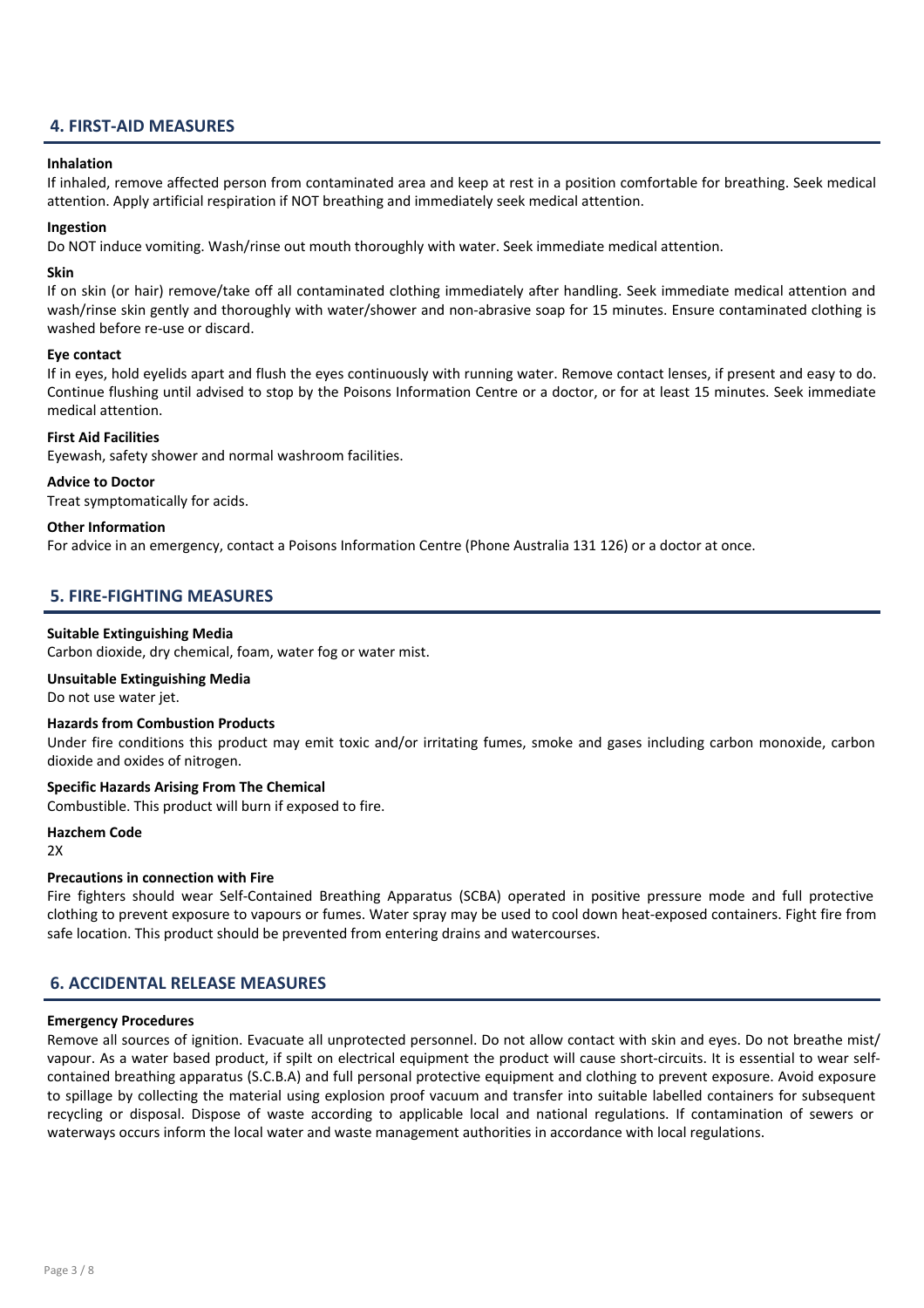## 4. FIRST-AID MEASURES

#### Inhalation

If inhaled, remove affected person from contaminated area and keep at rest in a position comfortable for breathing. Seek medical attention. Apply artificial respiration if NOT breathing and immediately seek medical attention.

#### Ingestion

Do NOT induce vomiting. Wash/rinse out mouth thoroughly with water. Seek immediate medical attention.

#### Skin

If on skin (or hair) remove/take off all contaminated clothing immediately after handling. Seek immediate medical attention and wash/rinse skin gently and thoroughly with water/shower and non-abrasive soap for 15 minutes. Ensure contaminated clothing is washed before re-use or discard.

#### Eye contact

If in eyes, hold eyelids apart and flush the eyes continuously with running water. Remove contact lenses, if present and easy to do. Continue flushing until advised to stop by the Poisons Information Centre or a doctor, or for at least 15 minutes. Seek immediate medical attention.

#### First Aid Facilities

Eyewash, safety shower and normal washroom facilities.

#### Advice to Doctor

Treat symptomatically for acids.

#### Other Information

For advice in an emergency, contact a Poisons Information Centre (Phone Australia 131 126) or a doctor at once.

## 5. FIRE-FIGHTING MEASURES

#### Suitable Extinguishing Media

Carbon dioxide, dry chemical, foam, water fog or water mist.

Unsuitable Extinguishing Media

Do not use water jet.

#### Hazards from Combustion Products

Under fire conditions this product may emit toxic and/or irritating fumes, smoke and gases including carbon monoxide, carbon dioxide and oxides of nitrogen.

#### Specific Hazards Arising From The Chemical

Combustible. This product will burn if exposed to fire.

#### Hazchem Code

 $2x$ 

## Precautions in connection with Fire

Fire fighters should wear Self-Contained Breathing Apparatus (SCBA) operated in positive pressure mode and full protective clothing to prevent exposure to vapours or fumes. Water spray may be used to cool down heat-exposed containers. Fight fire from safe location. This product should be prevented from entering drains and watercourses.

## 6. ACCIDENTAL RELEASE MEASURES

#### Emergency Procedures

Remove all sources of ignition. Evacuate all unprotected personnel. Do not allow contact with skin and eyes. Do not breathe mist/ vapour. As a water based product, if spilt on electrical equipment the product will cause short-circuits. It is essential to wear selfcontained breathing apparatus (S.C.B.A) and full personal protective equipment and clothing to prevent exposure. Avoid exposure to spillage by collecting the material using explosion proof vacuum and transfer into suitable labelled containers for subsequent recycling or disposal. Dispose of waste according to applicable local and national regulations. If contamination of sewers or waterways occurs inform the local water and waste management authorities in accordance with local regulations.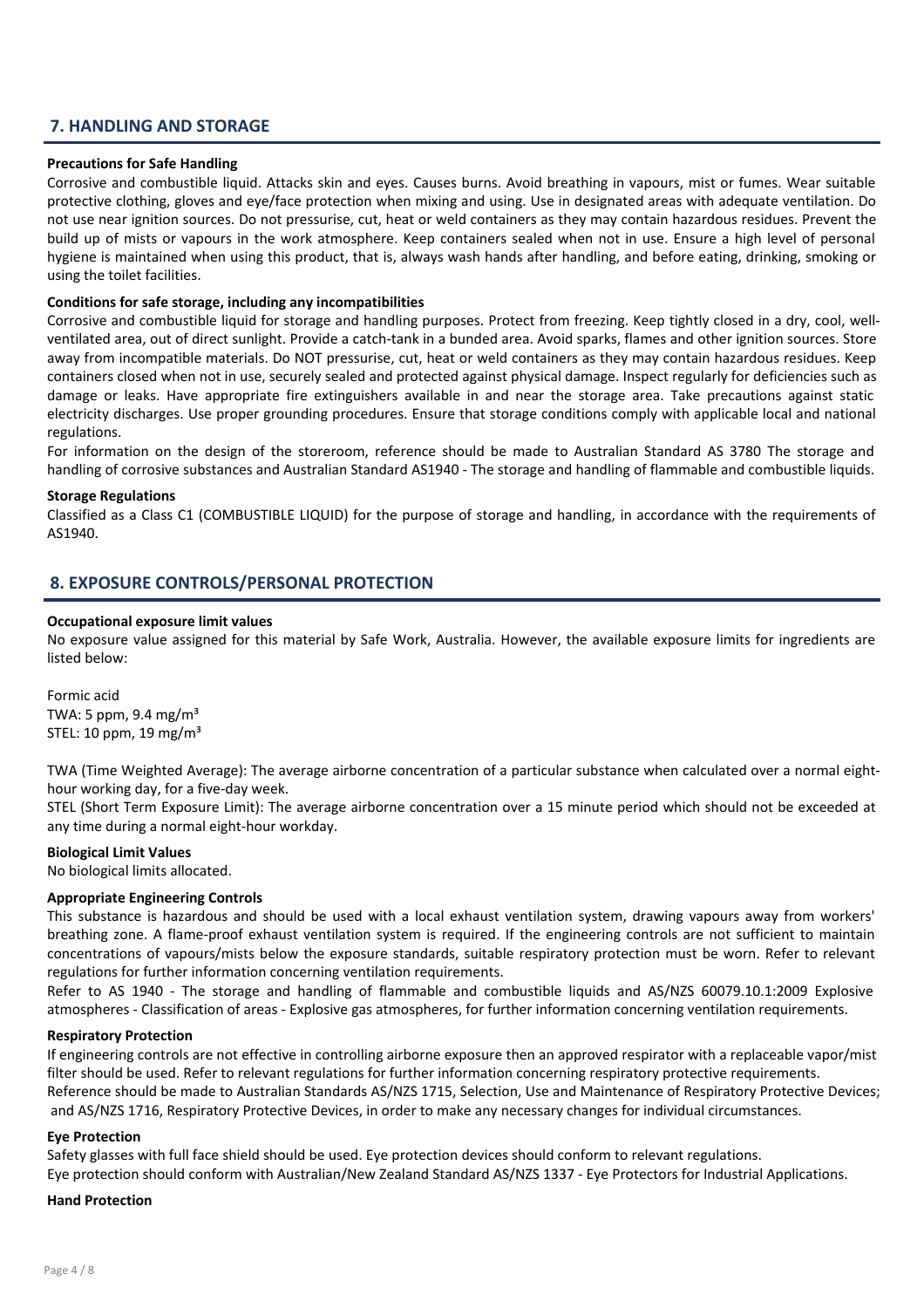## 7. HANDLING AND STORAGE

#### Precautions for Safe Handling

Corrosive and combustible liquid. Attacks skin and eyes. Causes burns. Avoid breathing in vapours, mist or fumes. Wear suitable protective clothing, gloves and eye/face protection when mixing and using. Use in designated areas with adequate ventilation. Do not use near ignition sources. Do not pressurise, cut, heat or weld containers as they may contain hazardous residues. Prevent the build up of mists or vapours in the work atmosphere. Keep containers sealed when not in use. Ensure a high level of personal hygiene is maintained when using this product, that is, always wash hands after handling, and before eating, drinking, smoking or using the toilet facilities.

#### Conditions for safe storage, including any incompatibilities

Corrosive and combustible liquid for storage and handling purposes. Protect from freezing. Keep tightly closed in a dry, cool, wellventilated area, out of direct sunlight. Provide a catch-tank in a bunded area. Avoid sparks, flames and other ignition sources. Store away from incompatible materials. Do NOT pressurise, cut, heat or weld containers as they may contain hazardous residues. Keep containers closed when not in use, securely sealed and protected against physical damage. Inspect regularly for deficiencies such as damage or leaks. Have appropriate fire extinguishers available in and near the storage area. Take precautions against static electricity discharges. Use proper grounding procedures. Ensure that storage conditions comply with applicable local and national regulations.

For information on the design of the storeroom, reference should be made to Australian Standard AS 3780 The storage and handling of corrosive substances and Australian Standard AS1940 - The storage and handling of flammable and combustible liquids.

#### Storage Regulations

Classified as a Class C1 (COMBUSTIBLE LIQUID) for the purpose of storage and handling, in accordance with the requirements of AS1940.

## 8. EXPOSURE CONTROLS/PERSONAL PROTECTION

#### Occupational exposure limit values

No exposure value assigned for this material by Safe Work, Australia. However, the available exposure limits for ingredients are listed below:

Formic acid TWA: 5 ppm, 9.4 mg/ $m<sup>3</sup>$ STEL: 10 ppm, 19 mg/m³

TWA (Time Weighted Average): The average airborne concentration of a particular substance when calculated over a normal eighthour working day, for a five-day week.

STEL (Short Term Exposure Limit): The average airborne concentration over a 15 minute period which should not be exceeded at any time during a normal eight-hour workday.

#### Biological Limit Values

No biological limits allocated.

#### Appropriate Engineering Controls

This substance is hazardous and should be used with a local exhaust ventilation system, drawing vapours away from workers' breathing zone. A flame-proof exhaust ventilation system is required. If the engineering controls are not sufficient to maintain concentrations of vapours/mists below the exposure standards, suitable respiratory protection must be worn. Refer to relevant regulations for further information concerning ventilation requirements.

Refer to AS 1940 - The storage and handling of flammable and combustible liquids and AS/NZS 60079.10.1:2009 Explosive atmospheres - Classification of areas - Explosive gas atmospheres, for further information concerning ventilation requirements.

#### Respiratory Protection

If engineering controls are not effective in controlling airborne exposure then an approved respirator with a replaceable vapor/mist filter should be used. Refer to relevant regulations for further information concerning respiratory protective requirements. Reference should be made to Australian Standards AS/NZS 1715, Selection, Use and Maintenance of Respiratory Protective Devices; and AS/NZS 1716, Respiratory Protective Devices, in order to make any necessary changes for individual circumstances.

#### Eye Protection

Safety glasses with full face shield should be used. Eye protection devices should conform to relevant regulations. Eye protection should conform with Australian/New Zealand Standard AS/NZS 1337 - Eye Protectors for Industrial Applications.

#### Hand Protection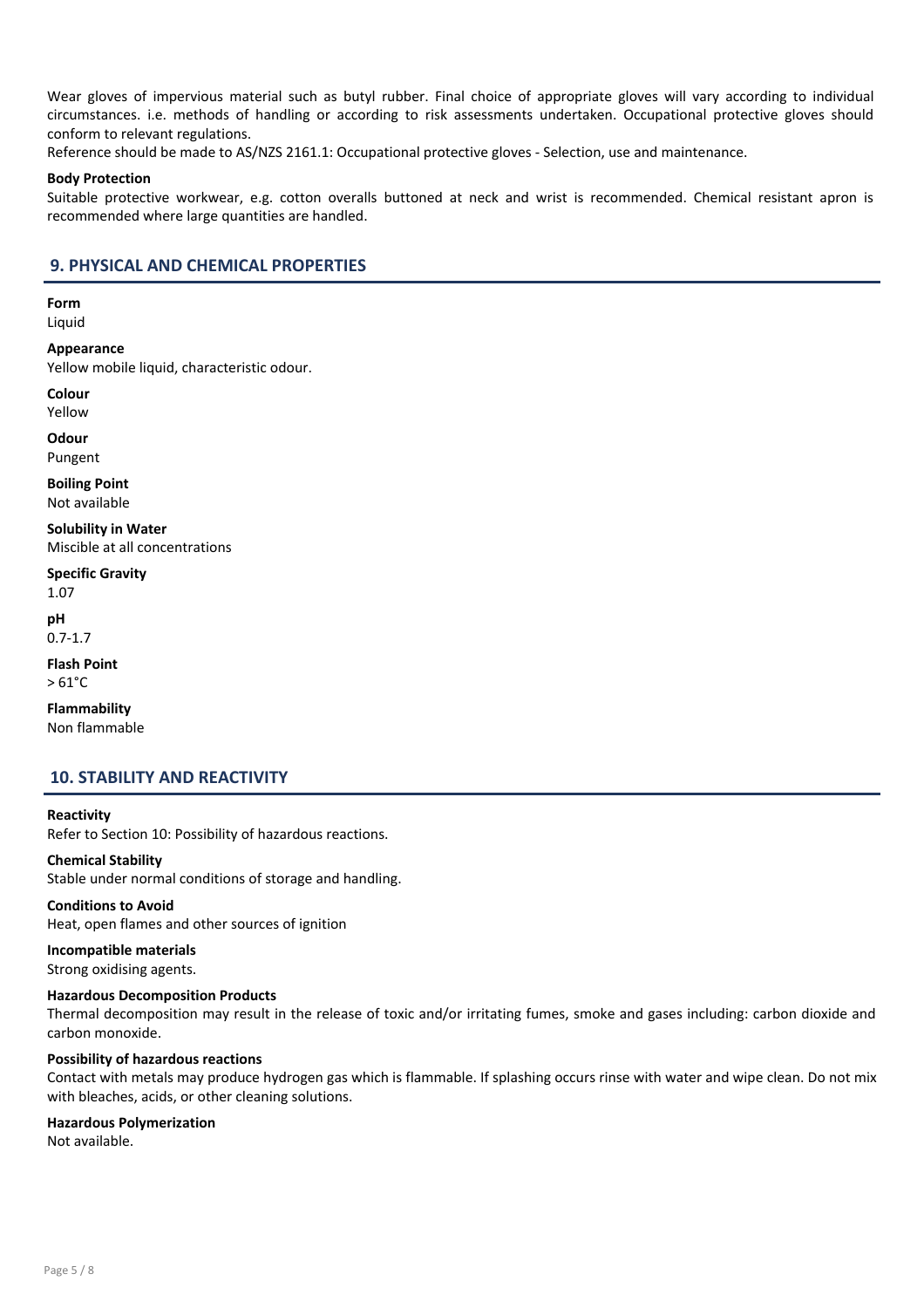Wear gloves of impervious material such as butyl rubber. Final choice of appropriate gloves will vary according to individual circumstances. i.e. methods of handling or according to risk assessments undertaken. Occupational protective gloves should conform to relevant regulations.

Reference should be made to AS/NZS 2161.1: Occupational protective gloves - Selection, use and maintenance.

#### Body Protection

Suitable protective workwear, e.g. cotton overalls buttoned at neck and wrist is recommended. Chemical resistant apron is recommended where large quantities are handled.

## 9. PHYSICAL AND CHEMICAL PROPERTIES

Form

Liquid

Appearance Yellow mobile liquid, characteristic odour.

Colour Yellow

**Odour** Pungent

Boiling Point Not available

Solubility in Water Miscible at all concentrations

Specific Gravity 1.07

pH 0.7-1.7

Flash Point  $> 61^{\circ}$ C

Flammability Non flammable

## 10. STABILITY AND REACTIVITY

#### Reactivity

Refer to Section 10: Possibility of hazardous reactions.

#### Chemical Stability

Stable under normal conditions of storage and handling.

Conditions to Avoid Heat, open flames and other sources of ignition

## Incompatible materials Strong oxidising agents.

#### Hazardous Decomposition Products

Thermal decomposition may result in the release of toxic and/or irritating fumes, smoke and gases including: carbon dioxide and carbon monoxide.

#### Possibility of hazardous reactions

Contact with metals may produce hydrogen gas which is flammable. If splashing occurs rinse with water and wipe clean. Do not mix with bleaches, acids, or other cleaning solutions.

#### Hazardous Polymerization

Not available.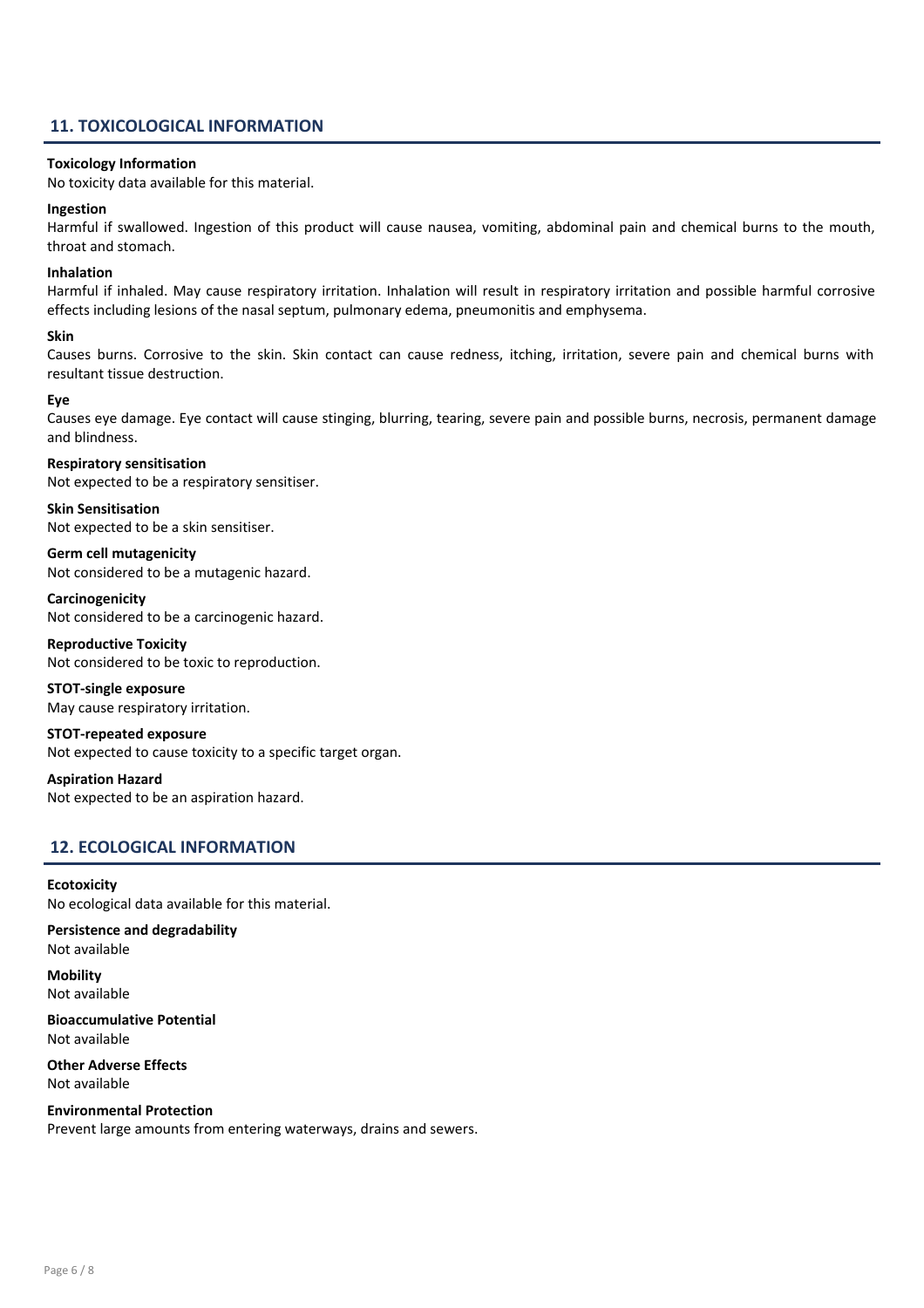## 11. TOXICOLOGICAL INFORMATION

#### Toxicology Information

No toxicity data available for this material.

#### Ingestion

Harmful if swallowed. Ingestion of this product will cause nausea, vomiting, abdominal pain and chemical burns to the mouth, throat and stomach.

#### Inhalation

Harmful if inhaled. May cause respiratory irritation. Inhalation will result in respiratory irritation and possible harmful corrosive effects including lesions of the nasal septum, pulmonary edema, pneumonitis and emphysema.

#### Skin

Causes burns. Corrosive to the skin. Skin contact can cause redness, itching, irritation, severe pain and chemical burns with resultant tissue destruction.

#### Eye

Causes eye damage. Eye contact will cause stinging, blurring, tearing, severe pain and possible burns, necrosis, permanent damage and blindness.

#### Respiratory sensitisation

Not expected to be a respiratory sensitiser.

Skin Sensitisation Not expected to be a skin sensitiser.

Germ cell mutagenicity Not considered to be a mutagenic hazard.

Carcinogenicity Not considered to be a carcinogenic hazard.

Reproductive Toxicity Not considered to be toxic to reproduction.

#### STOT-single exposure May cause respiratory irritation.

STOT-repeated exposure

Not expected to cause toxicity to a specific target organ.

Aspiration Hazard Not expected to be an aspiration hazard.

## 12. ECOLOGICAL INFORMATION

**Ecotoxicity** No ecological data available for this material.

Persistence and degradability Not available

**Mobility** Not available

Bioaccumulative Potential Not available

Other Adverse Effects Not available

Environmental Protection Prevent large amounts from entering waterways, drains and sewers.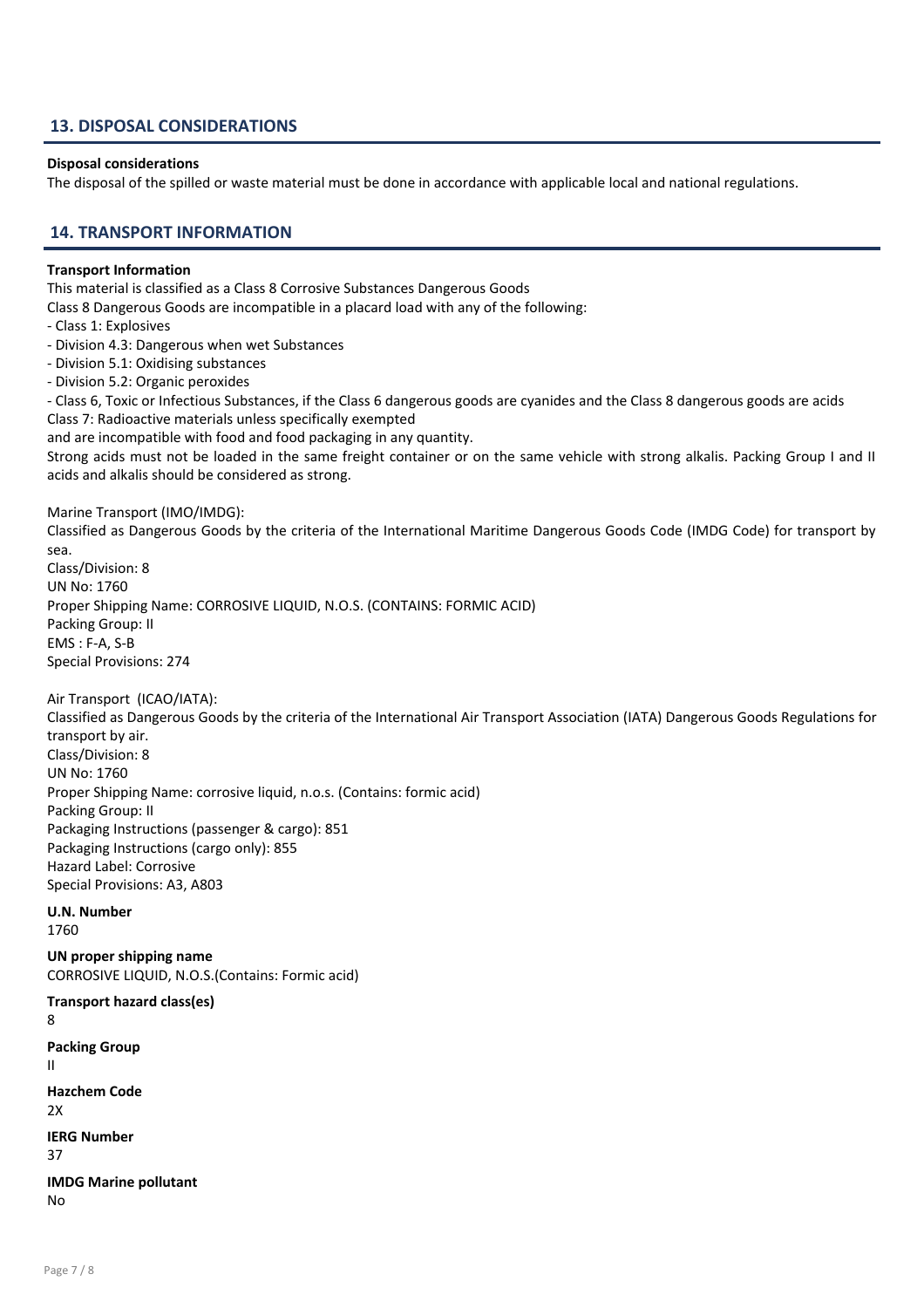## 13. DISPOSAL CONSIDERATIONS

#### Disposal considerations

The disposal of the spilled or waste material must be done in accordance with applicable local and national regulations.

## 14. TRANSPORT INFORMATION

#### Transport Information

This material is classified as a Class 8 Corrosive Substances Dangerous Goods

Class 8 Dangerous Goods are incompatible in a placard load with any of the following:

- Class 1: Explosives
- Division 4.3: Dangerous when wet Substances
- Division 5.1: Oxidising substances
- Division 5.2: Organic peroxides

- Class 6, Toxic or Infectious Substances, if the Class 6 dangerous goods are cyanides and the Class 8 dangerous goods are acids Class 7: Radioactive materials unless specifically exempted

and are incompatible with food and food packaging in any quantity.

Strong acids must not be loaded in the same freight container or on the same vehicle with strong alkalis. Packing Group I and II acids and alkalis should be considered as strong.

Marine Transport (IMO/IMDG):

Classified as Dangerous Goods by the criteria of the International Maritime Dangerous Goods Code (IMDG Code) for transport by sea. Class/Division: 8

UN No: 1760 Proper Shipping Name: CORROSIVE LIQUID, N.O.S. (CONTAINS: FORMIC ACID) Packing Group: II EMS : F-A, S-B Special Provisions: 274

Air Transport (ICAO/IATA):

Classified as Dangerous Goods by the criteria of the International Air Transport Association (IATA) Dangerous Goods Regulations for transport by air. Class/Division: 8 UN No: 1760 Proper Shipping Name: corrosive liquid, n.o.s. (Contains: formic acid) Packing Group: II Packaging Instructions (passenger & cargo): 851 Packaging Instructions (cargo only): 855 Hazard Label: Corrosive Special Provisions: A3, A803

## U.N. Number

1760

UN proper shipping name CORROSIVE LIQUID, N.O.S.(Contains: Formic acid)

Transport hazard class(es) 8 Packing Group II Hazchem Code  $2X$ IERG Number 37 IMDG Marine pollutant No